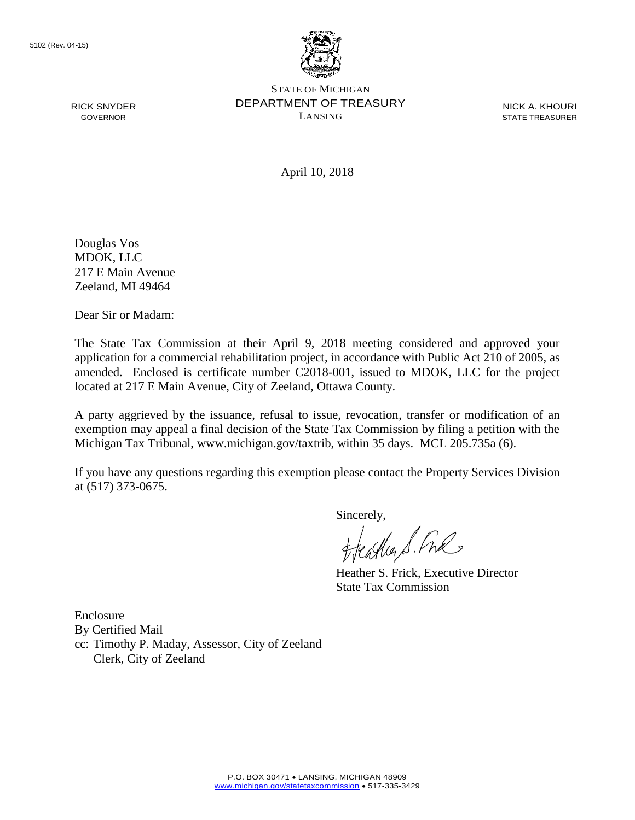

STATE OF MICHIGAN DEPARTMENT OF TREASURY LANSING

NICK A. KHOURI STATE TREASURER

April 10, 2018

Douglas Vos MDOK, LLC 217 E Main Avenue Zeeland, MI 49464

RICK SNYDER GOVERNOR

Dear Sir or Madam:

The State Tax Commission at their April 9, 2018 meeting considered and approved your application for a commercial rehabilitation project, in accordance with Public Act 210 of 2005, as amended. Enclosed is certificate number C2018-001, issued to MDOK, LLC for the project located at 217 E Main Avenue, City of Zeeland, Ottawa County.

A party aggrieved by the issuance, refusal to issue, revocation, transfer or modification of an exemption may appeal a final decision of the State Tax Commission by filing a petition with the Michigan Tax Tribunal, www.michigan.gov/taxtrib, within 35 days. MCL 205.735a (6).

If you have any questions regarding this exemption please contact the Property Services Division at (517) 373-0675.

Sincerely,<br>Heather S. Ful

Heather S. Frick, Executive Director State Tax Commission

Enclosure By Certified Mail cc: Timothy P. Maday, Assessor, City of Zeeland Clerk, City of Zeeland